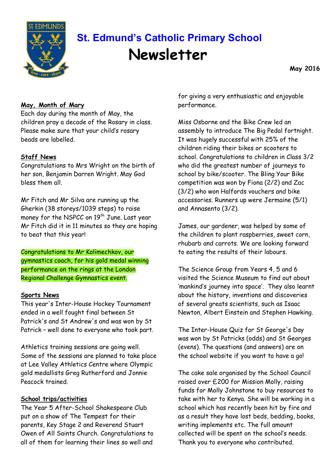

# **St. Edmund's Catholic Primary School Newsletter**

**May 2016**

## **May, Month of Mary**

Each day during the month of May, the children pray a decade of the Rosary in class. Please make sure that your child's rosary beads are labelled.

#### **Staff News**

Congratulations to Mrs Wright on the birth of her son, Benjamin Darren Wright. May God bless them all.

Mr Fitch and Mr Silva are running up the Gherkin (38 storeys/1039 steps) to raise money for the NSPCC on 19<sup>th</sup> June. Last year Mr Fitch did it in 11 minutes so they are hoping to beat that this year!

Congratulations to Mr Kolimechkov, our gymnastics coach, for his gold medal winning performance on the rings at the London Regional Challenge Gymnastics event.

#### **Sports News**

This year's Inter-House Hockey Tournament ended in a well fought final between St Patrick's and St Andrew's and was won by St Patrick – well done to everyone who took part.

Athletics training sessions are going well. Some of the sessions are planned to take place at Lee Valley Athletics Centre where Olympic gold medallists Greg Rutherford and Jonnie Peacock trained.

#### **School trips/activities**

The Year 5 After-School Shakespeare Club put on a show of The Tempest for their parents, Key Stage 2 and Reverend Stuart Owen of All Saints Church. Congratulations to all of them for learning their lines so well and

for giving a very enthusiastic and enjoyable performance.

Miss Osborne and the Bike Crew led an assembly to introduce The Big Pedal fortnight. It was hugely successful with 25% of the children riding their bikes or scooters to school. Congratulations to children in Class 3/2 who did the greatest number of journeys to school by bike/scooter. The Bling Your Bike competition was won by Fiona (2/2) and Zac (3/2) who won Halfords vouchers and bike accessories. Runners up were Jermaine (5/1) and Annasento (3/2).

James, our gardener, was helped by some of the children to plant raspberries, sweet corn, rhubarb and carrots. We are looking forward to eating the results of their labours.

The Science Group from Years 4, 5 and 6 visited the Science Museum to find out about 'mankind's journey into space'. They also learnt about the history, inventions and discoveries of several greats scientists, such as Isaac Newton, Albert Einstein and Stephen Hawking.

The Inter-House Quiz for St George's Day was won by St Patricks (odds) and St Georges (evens). The questions (and answers) are on the school website if you want to have a go!

The cake sale organised by the School Council raised over £200 for Mission Molly, raising funds for Molly Johnstone to buy resources to take with her to Kenya. She will be working in a school which has recently been hit by fire and as a result they have lost beds, bedding, books, writing implements etc. The full amount collected will be spent on the school's needs. Thank you to everyone who contributed.